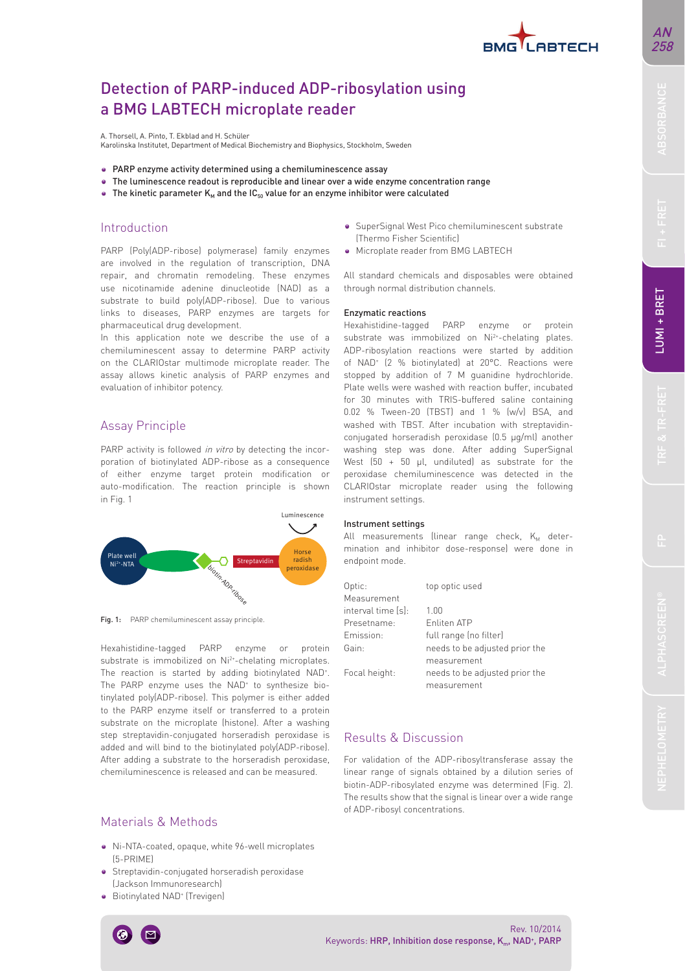# Detection of PARP-induced ADP-ribosylation using a BMG LABTECH microplate reader

A. Thorsell, A. Pinto, T. Ekblad and H. Schüler

Karolinska Institutet, Department of Medical Biochemistry and Biophysics, Stockholm, Sweden

- PARP enzyme activity determined using a chemiluminescence assay
- The luminescence readout is reproducible and linear over a wide enzyme concentration range
- The kinetic parameter  $K_M$  and the  $IC_{50}$  value for an enzyme inhibitor were calculated

### Introduction

PARP (Poly(ADP-ribose) polymerase) family enzymes are involved in the regulation of transcription, DNA repair, and chromatin remodeling. These enzymes use nicotinamide adenine dinucleotide (NAD) as a substrate to build poly(ADP-ribose). Due to various links to diseases, PARP enzymes are targets for pharmaceutical drug development.

In this application note we describe the use of a chemiluminescent assay to determine PARP activity on the CLARIOstar multimode microplate reader. The assay allows kinetic analysis of PARP enzymes and evaluation of inhibitor potency.

## Assay Principle

PARP activity is followed in vitro by detecting the incorporation of biotinylated ADP-ribose as a consequence of either enzyme target protein modification or auto-modification. The reaction principle is shown in Fig. 1



Fig. 1: PARP chemiluminescent assay principle.

Hexahistidine-tagged PARP enzyme or protein substrate is immobilized on Ni<sup>2+</sup>-chelating microplates. The reaction is started by adding biotinylated NAD<sup>+</sup>. The PARP enzyme uses the NAD<sup>+</sup> to synthesize biotinylated poly(ADP-ribose). This polymer is either added to the PARP enzyme itself or transferred to a protein substrate on the microplate (histone). After a washing step streptavidin-conjugated horseradish peroxidase is added and will bind to the biotinylated poly(ADP-ribose). After adding a substrate to the horseradish peroxidase, chemiluminescence is released and can be measured.

# Materials & Methods

- Ni-NTA-coated, opaque, white 96-well microplates (5-PRIME)
- Streptavidin-conjugated horseradish peroxidase (Jackson Immunoresearch)
- Biotinylated NAD+ (Trevigen)
- SuperSignal West Pico chemiluminescent substrate (Thermo Fisher Scientific)
- Microplate reader from BMG LABTECH

All standard chemicals and disposables were obtained through normal distribution channels.

#### Enzymatic reactions

Hexahistidine-tagged PARP enzyme or protein substrate was immobilized on Ni2+-chelating plates. ADP-ribosylation reactions were started by addition of NAD+ (2 % biotinylated) at 20°C. Reactions were stopped by addition of 7 M guanidine hydrochloride. Plate wells were washed with reaction buffer, incubated for 30 minutes with TRIS-buffered saline containing 0.02 % Tween-20 (TBST) and 1 % (w/v) BSA, and washed with TBST. After incubation with streptavidinconjugated horseradish peroxidase (0.5 μg/ml) another washing step was done. After adding SuperSignal West  $(50 + 50 \mu l,$  undiluted) as substrate for the peroxidase chemiluminescence was detected in the CLARIOstar microplate reader using the following instrument settings.

#### Instrument settings

All measurements (linear range check,  $K_M$  determination and inhibitor dose-response) were done in endpoint mode.

| Optic:             | top optic used                 |
|--------------------|--------------------------------|
| Measurement        |                                |
| interval time [s]: | 1.00                           |
| Presetname:        | <b>Fnliten ATP</b>             |
| Fmission:          | full range (no filter)         |
| Gain:              | needs to be adjusted prior the |
|                    | measurement                    |
| Focal height:      | needs to be adjusted prior the |
|                    | measurement                    |

### Results & Discussion

For validation of the ADP-ribosyltransferase assay the linear range of signals obtained by a dilution series of biotin-ADP-ribosylated enzyme was determined (Fig. 2). The results show that the signal is linear over a wide range of ADP-ribosyl concentrations.